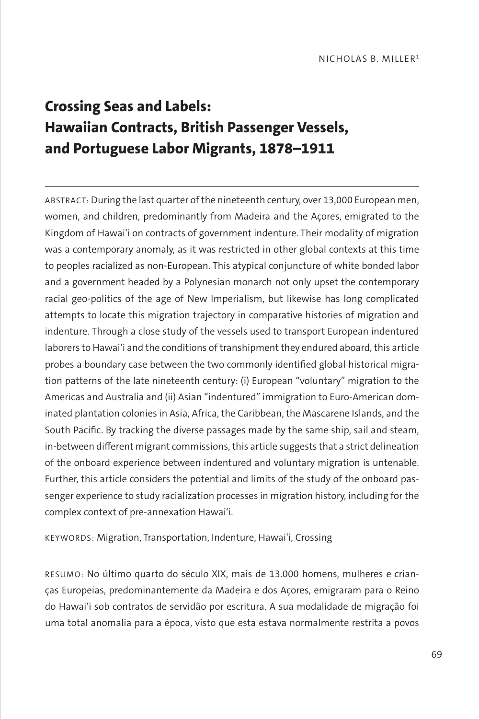# **Crossing Seas and Labels: Hawaiian Contracts, British Passenger Vessels, and Portuguese Labor Migrants, 1878–1911**

ABSTRACT: During the last quarter of the nineteenth century, over 13,000 European men, women, and children, predominantly from Madeira and the Açores, emigrated to the Kingdom of Hawai'i on contracts of government indenture. Their modality of migration was a contemporary anomaly, as it was restricted in other global contexts at this time to peoples racialized as non-European. This atypical conjuncture of white bonded labor and a government headed by a Polynesian monarch not only upset the contemporary racial geo-politics of the age of New Imperialism, but likewise has long complicated attempts to locate this migration trajectory in comparative histories of migration and indenture. Through a close study of the vessels used to transport European indentured laborers to Hawai'i and the conditions of transhipment they endured aboard, this article probes a boundary case between the two commonly identified global historical migration patterns of the late nineteenth century: (i) European "voluntary" migration to the Americas and Australia and (ii) Asian "indentured" immigration to Euro-American dominated plantation colonies in Asia, Africa, the Caribbean, the Mascarene Islands, and the South Pacific. By tracking the diverse passages made by the same ship, sail and steam, in-between different migrant commissions, this article suggests that a strict delineation of the onboard experience between indentured and voluntary migration is untenable. Further, this article considers the potential and limits of the study of the onboard passenger experience to study racialization processes in migration history, including for the complex context of pre-annexation Hawai'i.

KEYWORDS: Migration, Transportation, Indenture, Hawai'i, Crossing

RESUMO: No último quarto do século XIX, mais de 13.000 homens, mulheres e crianças Europeias, predominantemente da Madeira e dos Açores, emigraram para o Reino do Hawai'i sob contratos de servidão por escritura. A sua modalidade de migração foi uma total anomalia para a época, visto que esta estava normalmente restrita a povos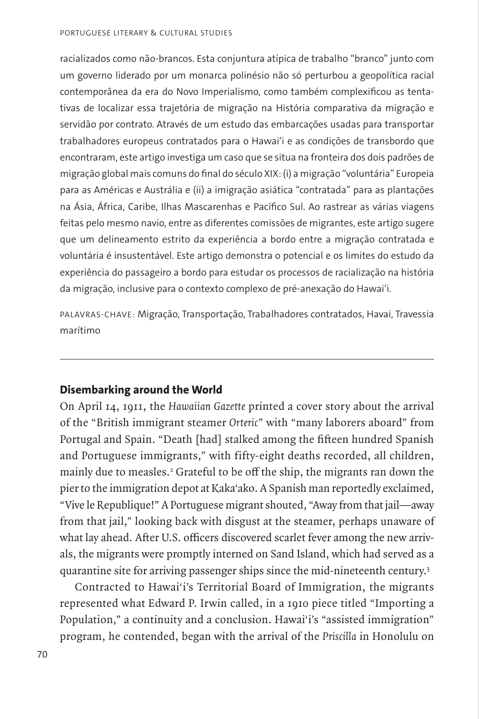racializados como não-brancos. Esta conjuntura atípica de trabalho "branco" junto com um governo liderado por um monarca polinésio não só perturbou a geopolítica racial contemporânea da era do Novo Imperialismo, como também complexificou as tentativas de localizar essa trajetória de migração na História comparativa da migração e servidão por contrato. Através de um estudo das embarcações usadas para transportar trabalhadores europeus contratados para o Hawai'i e as condições de transbordo que encontraram, este artigo investiga um caso que se situa na fronteira dos dois padrões de migração global mais comuns do final do século XIX: (i) a migração "voluntária" Europeia para as Américas e Austrália e (ii) a imigração asiática "contratada" para as plantações na Ásia, África, Caribe, Ilhas Mascarenhas e Pacífico Sul. Ao rastrear as várias viagens feitas pelo mesmo navio, entre as diferentes comissões de migrantes, este artigo sugere que um delineamento estrito da experiência a bordo entre a migração contratada e voluntária é insustentável. Este artigo demonstra o potencial e os limites do estudo da experiência do passageiro a bordo para estudar os processos de racialização na história da migração, inclusive para o contexto complexo de pré-anexação do Hawai'i.

PALAVRAS-CHAVE: Migração, Transportação, Trabalhadores contratados, Havai, Travessia marítimo

## **Disembarking around the World**

On April 14, 1911, the *Hawaiian Gazette* printed a cover story about the arrival of the "British immigrant steamer *Orteric*" with "many laborers aboard" from Portugal and Spain. "Death [had] stalked among the fifteen hundred Spanish and Portuguese immigrants," with fifty-eight deaths recorded, all children, mainly due to measles.<sup>2</sup> Grateful to be off the ship, the migrants ran down the pier to the immigration depot at Kaka'ako. A Spanish man reportedly exclaimed, "Vive le Republique!" A Portuguese migrant shouted, "Away from that jail—away from that jail," looking back with disgust at the steamer, perhaps unaware of what lay ahead. After U.S. officers discovered scarlet fever among the new arrivals, the migrants were promptly interned on Sand Island, which had served as a quarantine site for arriving passenger ships since the mid-nineteenth century.3

Contracted to Hawai'i's Territorial Board of Immigration, the migrants represented what Edward P. Irwin called, in a 1910 piece titled "Importing a Population," a continuity and a conclusion. Hawai'i's "assisted immigration" program, he contended, began with the arrival of the *Priscilla* in Honolulu on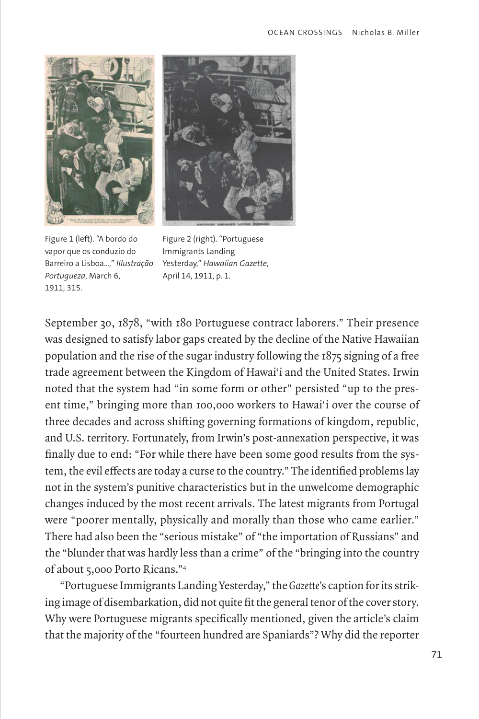



Figure 1 (left). "A bordo do vapor que os conduzio do Barreiro a Lisboa…," *Illustração Portugueza*, March 6, 1911, 315.

Figure 2 (right). "Portuguese Immigrants Landing Yesterday," *Hawaiian Gazette*, April 14, 1911, p. 1.

September 30, 1878, "with 180 Portuguese contract laborers." Their presence was designed to satisfy labor gaps created by the decline of the Native Hawaiian population and the rise of the sugar industry following the 1875 signing of a free trade agreement between the Kingdom of Hawai'i and the United States. Irwin noted that the system had "in some form or other" persisted "up to the present time," bringing more than 100,000 workers to Hawai'i over the course of three decades and across shifting governing formations of kingdom, republic, and U.S. territory. Fortunately, from Irwin's post-annexation perspective, it was finally due to end: "For while there have been some good results from the system, the evil effects are today a curse to the country." The identified problems lay not in the system's punitive characteristics but in the unwelcome demographic changes induced by the most recent arrivals. The latest migrants from Portugal were "poorer mentally, physically and morally than those who came earlier." There had also been the "serious mistake" of "the importation of Russians" and the "blunder that was hardly less than a crime" of the "bringing into the country of about 5,000 Porto Ricans."4

"Portuguese Immigrants Landing Yesterday," the *Gazette*'s caption for its striking image of disembarkation, did not quite fit the general tenor of the cover story. Why were Portuguese migrants specifically mentioned, given the article's claim that the majority of the "fourteen hundred are Spaniards"? Why did the reporter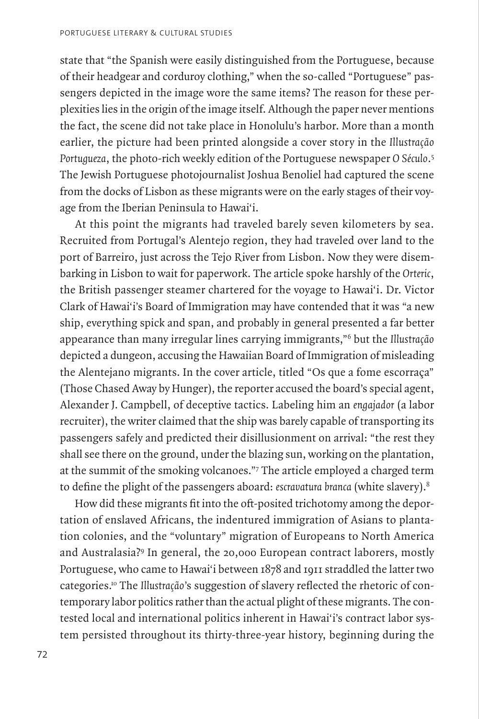state that "the Spanish were easily distinguished from the Portuguese, because of their headgear and corduroy clothing," when the so-called "Portuguese" passengers depicted in the image wore the same items? The reason for these perplexities lies in the origin of the image itself. Although the paper never mentions the fact, the scene did not take place in Honolulu's harbor. More than a month earlier, the picture had been printed alongside a cover story in the *Illustração Portugueza*, the photo-rich weekly edition of the Portuguese newspaper *O Século*. 5 The Jewish Portuguese photojournalist Joshua Benoliel had captured the scene from the docks of Lisbon as these migrants were on the early stages of their voyage from the Iberian Peninsula to Hawai'i.

At this point the migrants had traveled barely seven kilometers by sea. Recruited from Portugal's Alentejo region, they had traveled over land to the port of Barreiro, just across the Tejo River from Lisbon. Now they were disembarking in Lisbon to wait for paperwork. The article spoke harshly of the *Orteric*, the British passenger steamer chartered for the voyage to Hawai'i. Dr. Victor Clark of Hawai'i's Board of Immigration may have contended that it was "a new ship, everything spick and span, and probably in general presented a far better appearance than many irregular lines carrying immigrants,"6 but the *Illustração* depicted a dungeon, accusing the Hawaiian Board of Immigration of misleading the Alentejano migrants. In the cover article, titled "Os que a fome escorraça" (Those Chased Away by Hunger), the reporter accused the board's special agent, Alexander J. Campbell, of deceptive tactics. Labeling him an *engajador* (a labor recruiter), the writer claimed that the ship was barely capable of transporting its passengers safely and predicted their disillusionment on arrival: "the rest they shall see there on the ground, under the blazing sun, working on the plantation, at the summit of the smoking volcanoes."7 The article employed a charged term to define the plight of the passengers aboard: *escravatura branca* (white slavery).8

How did these migrants fit into the oft-posited trichotomy among the deportation of enslaved Africans, the indentured immigration of Asians to plantation colonies, and the "voluntary" migration of Europeans to North America and Australasia?9 In general, the 20,000 European contract laborers, mostly Portuguese, who came to Hawai'i between 1878 and 1911 straddled the latter two categories.10 The *Illustração*'s suggestion of slavery reflected the rhetoric of contemporary labor politics rather than the actual plight of these migrants. The contested local and international politics inherent in Hawai'i's contract labor system persisted throughout its thirty-three-year history, beginning during the

72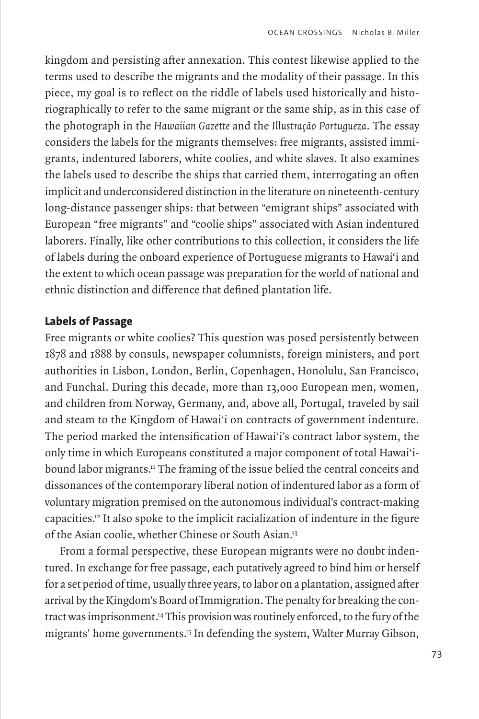kingdom and persisting after annexation. This contest likewise applied to the terms used to describe the migrants and the modality of their passage. In this piece, my goal is to reflect on the riddle of labels used historically and historiographically to refer to the same migrant or the same ship, as in this case of the photograph in the *Hawaiian Gazette* and the *Illustração Portugueza*. The essay considers the labels for the migrants themselves: free migrants, assisted immigrants, indentured laborers, white coolies, and white slaves. It also examines the labels used to describe the ships that carried them, interrogating an often implicit and underconsidered distinction in the literature on nineteenth-century long-distance passenger ships: that between "emigrant ships" associated with European "free migrants" and "coolie ships" associated with Asian indentured laborers. Finally, like other contributions to this collection, it considers the life of labels during the onboard experience of Portuguese migrants to Hawai'i and the extent to which ocean passage was preparation for the world of national and ethnic distinction and difference that defined plantation life.

# **Labels of Passage**

Free migrants or white coolies? This question was posed persistently between 1878 and 1888 by consuls, newspaper columnists, foreign ministers, and port authorities in Lisbon, London, Berlin, Copenhagen, Honolulu, San Francisco, and Funchal. During this decade, more than 13,000 European men, women, and children from Norway, Germany, and, above all, Portugal, traveled by sail and steam to the Kingdom of Hawai'i on contracts of government indenture. The period marked the intensification of Hawai'i's contract labor system, the only time in which Europeans constituted a major component of total Hawai'ibound labor migrants.<sup>11</sup> The framing of the issue belied the central conceits and dissonances of the contemporary liberal notion of indentured labor as a form of voluntary migration premised on the autonomous individual's contract-making capacities.12 It also spoke to the implicit racialization of indenture in the figure of the Asian coolie, whether Chinese or South Asian.13

From a formal perspective, these European migrants were no doubt indentured. In exchange for free passage, each putatively agreed to bind him or herself for a set period of time, usually three years, to labor on a plantation, assigned after arrival by the Kingdom's Board of Immigration. The penalty for breaking the contract was imprisonment.14 This provision was routinely enforced, to the fury of the migrants' home governments.<sup>15</sup> In defending the system, Walter Murray Gibson,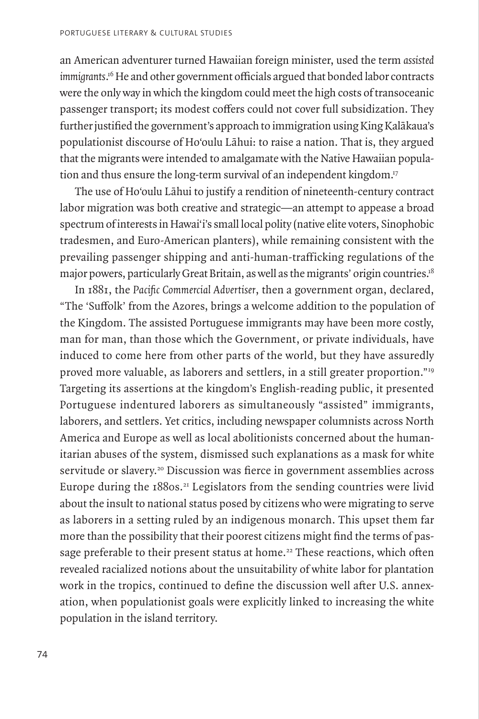an American adventurer turned Hawaiian foreign minister, used the term *assisted immigrants*. 16 He and other government officials argued that bonded labor contracts were the only way in which the kingdom could meet the high costs of transoceanic passenger transport; its modest coffers could not cover full subsidization. They further justified the government's approach to immigration using King Kalākaua's populationist discourse of Ho'oulu Lāhui: to raise a nation. That is, they argued that the migrants were intended to amalgamate with the Native Hawaiian population and thus ensure the long-term survival of an independent kingdom.<sup>17</sup>

The use of Ho'oulu Lāhui to justify a rendition of nineteenth-century contract labor migration was both creative and strategic—an attempt to appease a broad spectrum of interests in Hawai'i's small local polity (native elite voters, Sinophobic tradesmen, and Euro-American planters), while remaining consistent with the prevailing passenger shipping and anti-human-trafficking regulations of the major powers, particularly Great Britain, as well as the migrants' origin countries.18

In 1881, the *Pacific Commercial Advertiser*, then a government organ, declared, "The 'Suffolk' from the Azores, brings a welcome addition to the population of the Kingdom. The assisted Portuguese immigrants may have been more costly, man for man, than those which the Government, or private individuals, have induced to come here from other parts of the world, but they have assuredly proved more valuable, as laborers and settlers, in a still greater proportion."19 Targeting its assertions at the kingdom's English-reading public, it presented Portuguese indentured laborers as simultaneously "assisted" immigrants, laborers, and settlers. Yet critics, including newspaper columnists across North America and Europe as well as local abolitionists concerned about the humanitarian abuses of the system, dismissed such explanations as a mask for white servitude or slavery.<sup>20</sup> Discussion was fierce in government assemblies across Europe during the 1880s.<sup>21</sup> Legislators from the sending countries were livid about the insult to national status posed by citizens who were migrating to serve as laborers in a setting ruled by an indigenous monarch. This upset them far more than the possibility that their poorest citizens might find the terms of passage preferable to their present status at home.<sup>22</sup> These reactions, which often revealed racialized notions about the unsuitability of white labor for plantation work in the tropics, continued to define the discussion well after U.S. annexation, when populationist goals were explicitly linked to increasing the white population in the island territory.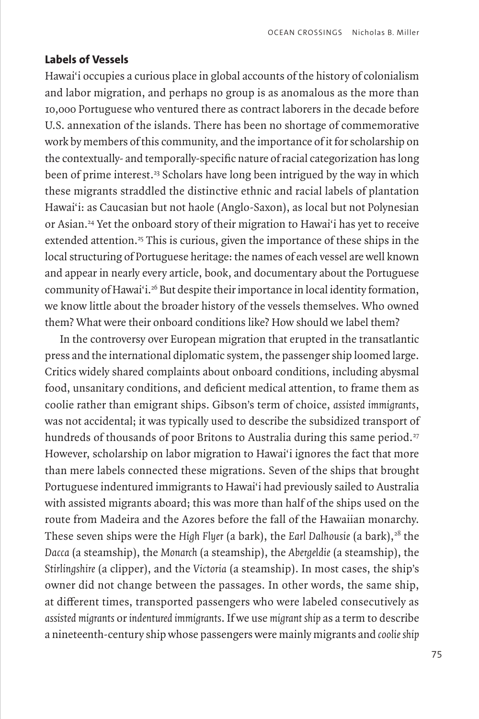## **Labels of Vessels**

Hawai'i occupies a curious place in global accounts of the history of colonialism and labor migration, and perhaps no group is as anomalous as the more than 10,000 Portuguese who ventured there as contract laborers in the decade before U.S. annexation of the islands. There has been no shortage of commemorative work by members of this community, and the importance of it for scholarship on the contextually- and temporally-specific nature of racial categorization has long been of prime interest.<sup>23</sup> Scholars have long been intrigued by the way in which these migrants straddled the distinctive ethnic and racial labels of plantation Hawai'i: as Caucasian but not haole (Anglo-Saxon), as local but not Polynesian or Asian.24 Yet the onboard story of their migration to Hawai'i has yet to receive extended attention.<sup>25</sup> This is curious, given the importance of these ships in the local structuring of Portuguese heritage: the names of each vessel are well known and appear in nearly every article, book, and documentary about the Portuguese community of Hawai'i.26 But despite their importance in local identity formation, we know little about the broader history of the vessels themselves. Who owned them? What were their onboard conditions like? How should we label them?

In the controversy over European migration that erupted in the transatlantic press and the international diplomatic system, the passenger ship loomed large. Critics widely shared complaints about onboard conditions, including abysmal food, unsanitary conditions, and deficient medical attention, to frame them as coolie rather than emigrant ships. Gibson's term of choice, *assisted immigrants*, was not accidental; it was typically used to describe the subsidized transport of hundreds of thousands of poor Britons to Australia during this same period.<sup>27</sup> However, scholarship on labor migration to Hawai'i ignores the fact that more than mere labels connected these migrations. Seven of the ships that brought Portuguese indentured immigrants to Hawai'i had previously sailed to Australia with assisted migrants aboard; this was more than half of the ships used on the route from Madeira and the Azores before the fall of the Hawaiian monarchy. These seven ships were the *High Flyer* (a bark), the *Earl Dalhousie* (a bark),<sup>28</sup> the *Dacca* (a steamship), the *Monarch* (a steamship), the *Abergeldie* (a steamship), the *Stirlingshire* (a clipper), and the *Victoria* (a steamship). In most cases, the ship's owner did not change between the passages. In other words, the same ship, at different times, transported passengers who were labeled consecutively as *assisted migrants* or *indentured immigrants*. If we use *migrant ship* as a term to describe a nineteenth-century ship whose passengers were mainly migrants and *coolie ship*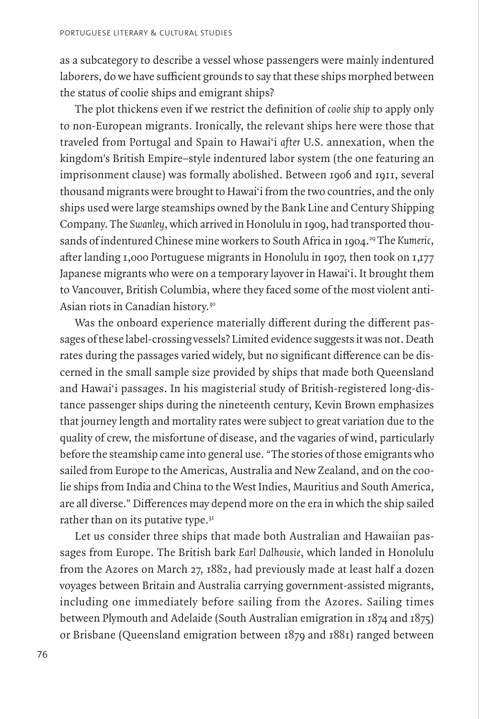as a subcategory to describe a vessel whose passengers were mainly indentured laborers, do we have sufficient grounds to say that these ships morphed between the status of coolie ships and emigrant ships?

The plot thickens even if we restrict the definition of *coolie ship* to apply only to non-European migrants. Ironically, the relevant ships here were those that traveled from Portugal and Spain to Hawai'i *after* U.S. annexation, when the kingdom's British Empire–style indentured labor system (the one featuring an imprisonment clause) was formally abolished. Between 1906 and 1911, several thousand migrants were brought to Hawai'i from the two countries, and the only ships used were large steamships owned by the Bank Line and Century Shipping Company. The *Swanley*, which arrived in Honolulu in 1909, had transported thousands of indentured Chinese mine workers to South Africa in 1904.<sup>29</sup> The *Kumeric*, after landing 1,000 Portuguese migrants in Honolulu in 1907, then took on 1,177 Japanese migrants who were on a temporary layover in Hawai'i. It brought them to Vancouver, British Columbia, where they faced some of the most violent anti-Asian riots in Canadian history.30

Was the onboard experience materially different during the different passages of these label-crossing vessels? Limited evidence suggests it was not. Death rates during the passages varied widely, but no significant difference can be discerned in the small sample size provided by ships that made both Queensland and Hawai'i passages. In his magisterial study of British-registered long-distance passenger ships during the nineteenth century, Kevin Brown emphasizes that journey length and mortality rates were subject to great variation due to the quality of crew, the misfortune of disease, and the vagaries of wind, particularly before the steamship came into general use. "The stories of those emigrants who sailed from Europe to the Americas, Australia and New Zealand, and on the coolie ships from India and China to the West Indies, Mauritius and South America, are all diverse." Differences may depend more on the era in which the ship sailed rather than on its putative type. $3<sup>T</sup>$ 

Let us consider three ships that made both Australian and Hawaiian passages from Europe. The British bark *Earl Dalhousie*, which landed in Honolulu from the Azores on March 27, 1882, had previously made at least half a dozen voyages between Britain and Australia carrying government-assisted migrants, including one immediately before sailing from the Azores. Sailing times between Plymouth and Adelaide (South Australian emigration in 1874 and 1875) or Brisbane (Queensland emigration between 1879 and 1881) ranged between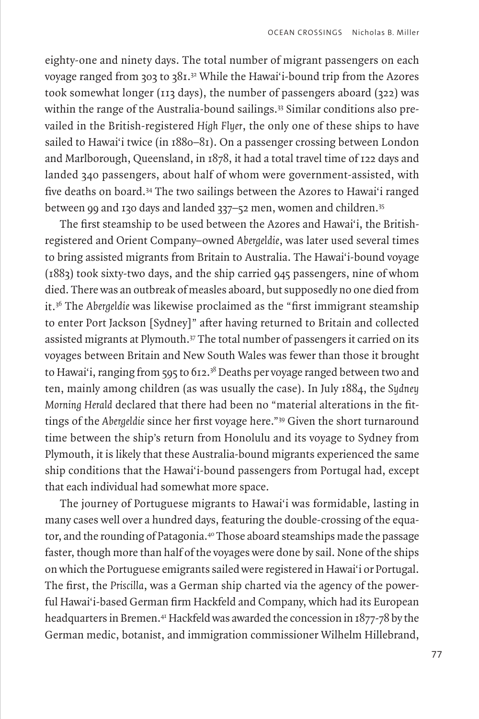eighty-one and ninety days. The total number of migrant passengers on each voyage ranged from 303 to  $381.^3$ <sup>2</sup> While the Hawai'i-bound trip from the Azores took somewhat longer (113 days), the number of passengers aboard (322) was within the range of the Australia-bound sailings.<sup>33</sup> Similar conditions also prevailed in the British-registered *High Flyer*, the only one of these ships to have sailed to Hawai'i twice (in 1880–81). On a passenger crossing between London and Marlborough, Queensland, in 1878, it had a total travel time of 122 days and landed 340 passengers, about half of whom were government-assisted, with five deaths on board.34 The two sailings between the Azores to Hawai'i ranged between 99 and 130 days and landed 337–52 men, women and children.35

The first steamship to be used between the Azores and Hawai'i, the Britishregistered and Orient Company–owned *Abergeldie*, was later used several times to bring assisted migrants from Britain to Australia. The Hawai'i-bound voyage (1883) took sixty-two days, and the ship carried 945 passengers, nine of whom died. There was an outbreak of measles aboard, but supposedly no one died from it.36 The *Abergeldie* was likewise proclaimed as the "first immigrant steamship to enter Port Jackson [Sydney]" after having returned to Britain and collected assisted migrants at Plymouth.<sup>37</sup> The total number of passengers it carried on its voyages between Britain and New South Wales was fewer than those it brought to Hawai'i, ranging from 595 to 612.<sup>38</sup> Deaths per voyage ranged between two and ten, mainly among children (as was usually the case). In July 1884, the *Sydney Morning Herald* declared that there had been no "material alterations in the fittings of the *Abergeldie* since her first voyage here."39 Given the short turnaround time between the ship's return from Honolulu and its voyage to Sydney from Plymouth, it is likely that these Australia-bound migrants experienced the same ship conditions that the Hawai'i-bound passengers from Portugal had, except that each individual had somewhat more space.

The journey of Portuguese migrants to Hawai'i was formidable, lasting in many cases well over a hundred days, featuring the double-crossing of the equator, and the rounding of Patagonia.40 Those aboard steamships made the passage faster, though more than half of the voyages were done by sail. None of the ships on which the Portuguese emigrants sailed were registered in Hawai'i or Portugal. The first, the *Priscilla*, was a German ship charted via the agency of the powerful Hawai'i-based German firm Hackfeld and Company, which had its European headquarters in Bremen.<sup>41</sup> Hackfeld was awarded the concession in 1877-78 by the German medic, botanist, and immigration commissioner Wilhelm Hillebrand,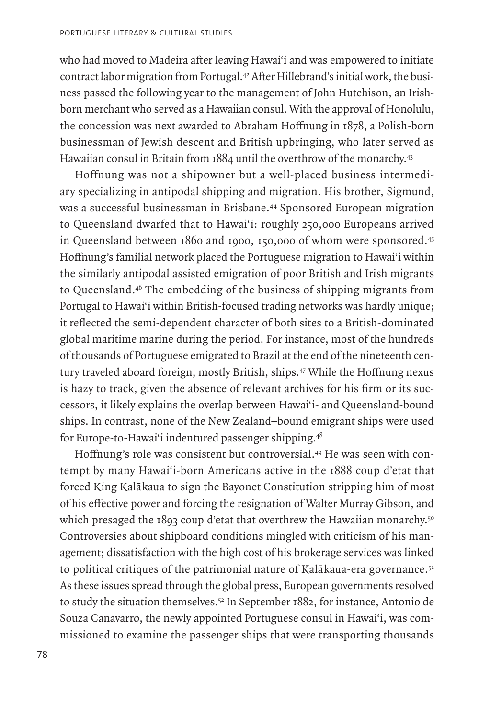who had moved to Madeira after leaving Hawai'i and was empowered to initiate contract labor migration from Portugal.42 After Hillebrand's initial work, the business passed the following year to the management of John Hutchison, an Irishborn merchant who served as a Hawaiian consul. With the approval of Honolulu, the concession was next awarded to Abraham Hoffnung in 1878, a Polish-born businessman of Jewish descent and British upbringing, who later served as Hawaiian consul in Britain from 1884 until the overthrow of the monarchy.43

Hoffnung was not a shipowner but a well-placed business intermediary specializing in antipodal shipping and migration. His brother, Sigmund, was a successful businessman in Brisbane.<sup>44</sup> Sponsored European migration to Queensland dwarfed that to Hawai'i: roughly 250,000 Europeans arrived in Queensland between 1860 and 1900, 150,000 of whom were sponsored.45 Hoffnung's familial network placed the Portuguese migration to Hawai'i within the similarly antipodal assisted emigration of poor British and Irish migrants to Queensland.46 The embedding of the business of shipping migrants from Portugal to Hawai'i within British-focused trading networks was hardly unique; it reflected the semi-dependent character of both sites to a British-dominated global maritime marine during the period. For instance, most of the hundreds of thousands of Portuguese emigrated to Brazil at the end of the nineteenth century traveled aboard foreign, mostly British, ships.47 While the Hoffnung nexus is hazy to track, given the absence of relevant archives for his firm or its successors, it likely explains the overlap between Hawai'i- and Queensland-bound ships. In contrast, none of the New Zealand–bound emigrant ships were used for Europe-to-Hawai'i indentured passenger shipping.48

Hoffnung's role was consistent but controversial.<sup>49</sup> He was seen with contempt by many Hawai'i-born Americans active in the 1888 coup d'etat that forced King Kalākaua to sign the Bayonet Constitution stripping him of most of his effective power and forcing the resignation of Walter Murray Gibson, and which presaged the 1893 coup d'etat that overthrew the Hawaiian monarchy.<sup>50</sup> Controversies about shipboard conditions mingled with criticism of his management; dissatisfaction with the high cost of his brokerage services was linked to political critiques of the patrimonial nature of Kalākaua-era governance.<sup>51</sup> As these issues spread through the global press, European governments resolved to study the situation themselves.<sup>52</sup> In September 1882, for instance, Antonio de Souza Canavarro, the newly appointed Portuguese consul in Hawai'i, was commissioned to examine the passenger ships that were transporting thousands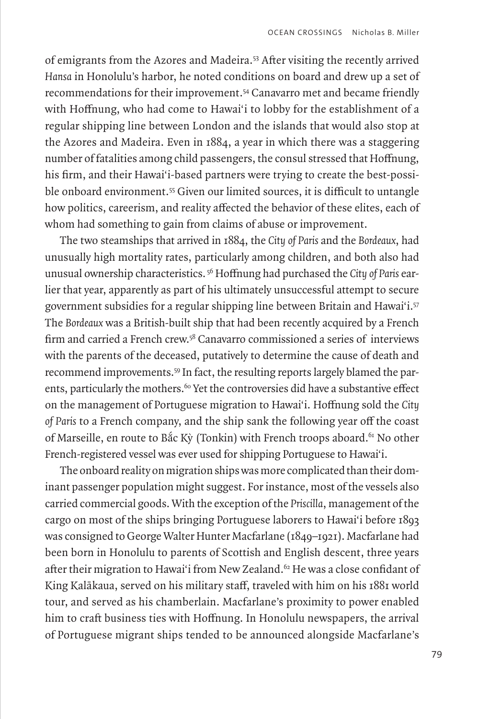of emigrants from the Azores and Madeira.53 After visiting the recently arrived *Hansa* in Honolulu's harbor, he noted conditions on board and drew up a set of recommendations for their improvement.54 Canavarro met and became friendly with Hoffnung, who had come to Hawai'i to lobby for the establishment of a regular shipping line between London and the islands that would also stop at the Azores and Madeira. Even in 1884, a year in which there was a staggering number of fatalities among child passengers, the consul stressed that Hoffnung, his firm, and their Hawai'i-based partners were trying to create the best-possible onboard environment.<sup>55</sup> Given our limited sources, it is difficult to untangle how politics, careerism, and reality affected the behavior of these elites, each of whom had something to gain from claims of abuse or improvement.

The two steamships that arrived in 1884, the *City of Paris* and the *Bordeaux*, had unusually high mortality rates, particularly among children, and both also had unusual ownership characteristics. 56 Hoffnung had purchased the *City of Paris* earlier that year, apparently as part of his ultimately unsuccessful attempt to secure government subsidies for a regular shipping line between Britain and Hawai'i.57 The *Bordeaux* was a British-built ship that had been recently acquired by a French firm and carried a French crew.<sup>58</sup> Canavarro commissioned a series of interviews with the parents of the deceased, putatively to determine the cause of death and recommend improvements.59 In fact, the resulting reports largely blamed the parents, particularly the mothers.<sup>60</sup> Yet the controversies did have a substantive effect on the management of Portuguese migration to Hawai'i. Hoffnung sold the *City of Paris* to a French company, and the ship sank the following year off the coast of Marseille, en route to Bắc Kỳ (Tonkin) with French troops aboard.<sup>61</sup> No other French-registered vessel was ever used for shipping Portuguese to Hawai'i.

The onboard reality on migration ships was more complicated than their dominant passenger population might suggest. For instance, most of the vessels also carried commercial goods. With the exception of the *Priscilla*, management of the cargo on most of the ships bringing Portuguese laborers to Hawai'i before 1893 was consigned to George Walter Hunter Macfarlane (1849–1921). Macfarlane had been born in Honolulu to parents of Scottish and English descent, three years after their migration to Hawai'i from New Zealand.<sup>62</sup> He was a close confidant of King Kalākaua, served on his military staff, traveled with him on his 1881 world tour, and served as his chamberlain. Macfarlane's proximity to power enabled him to craft business ties with Hoffnung. In Honolulu newspapers, the arrival of Portuguese migrant ships tended to be announced alongside Macfarlane's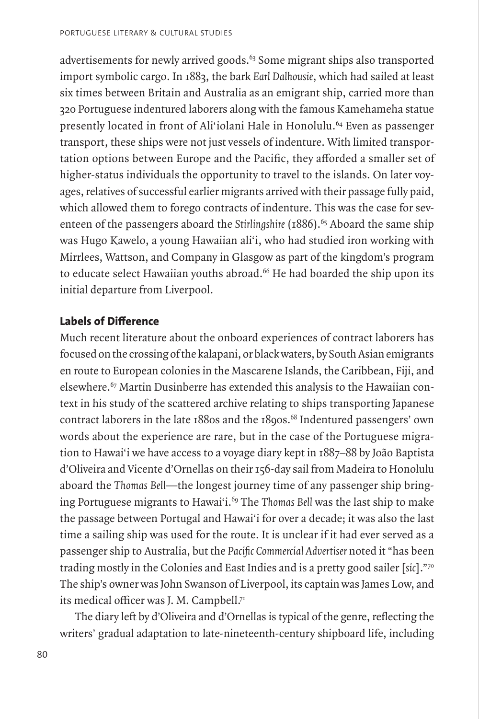advertisements for newly arrived goods.<sup>63</sup> Some migrant ships also transported import symbolic cargo. In 1883, the bark *Earl Dalhousie*, which had sailed at least six times between Britain and Australia as an emigrant ship, carried more than 320 Portuguese indentured laborers along with the famous Kamehameha statue presently located in front of Ali'iolani Hale in Honolulu.<sup>64</sup> Even as passenger transport, these ships were not just vessels of indenture. With limited transportation options between Europe and the Pacific, they afforded a smaller set of higher-status individuals the opportunity to travel to the islands. On later voyages, relatives of successful earlier migrants arrived with their passage fully paid, which allowed them to forego contracts of indenture. This was the case for seventeen of the passengers aboard the *Stirlingshire* (1886).<sup>65</sup> Aboard the same ship was Hugo Kawelo, a young Hawaiian ali'i, who had studied iron working with Mirrlees, Wattson, and Company in Glasgow as part of the kingdom's program to educate select Hawaiian youths abroad.<sup>66</sup> He had boarded the ship upon its initial departure from Liverpool.

# **Labels of Difference**

Much recent literature about the onboard experiences of contract laborers has focused on the crossing of the kalapani, or black waters, by South Asian emigrants en route to European colonies in the Mascarene Islands, the Caribbean, Fiji, and elsewhere.67 Martin Dusinberre has extended this analysis to the Hawaiian context in his study of the scattered archive relating to ships transporting Japanese contract laborers in the late 1880s and the 1890s.<sup>68</sup> Indentured passengers' own words about the experience are rare, but in the case of the Portuguese migration to Hawai'i we have access to a voyage diary kept in 1887–88 by João Baptista d'Oliveira and Vicente d'Ornellas on their 156-day sail from Madeira to Honolulu aboard the *Thomas Bell*—the longest journey time of any passenger ship bringing Portuguese migrants to Hawai'i.<sup>69</sup> The *Thomas Bell* was the last ship to make the passage between Portugal and Hawai'i for over a decade; it was also the last time a sailing ship was used for the route. It is unclear if it had ever served as a passenger ship to Australia, but the *Pacific Commercial Advertiser* noted it "has been trading mostly in the Colonies and East Indies and is a pretty good sailer [*sic*]."70 The ship's owner was John Swanson of Liverpool, its captain was James Low, and its medical officer was J. M. Campbell.<sup>71</sup>

The diary left by d'Oliveira and d'Ornellas is typical of the genre, reflecting the writers' gradual adaptation to late-nineteenth-century shipboard life, including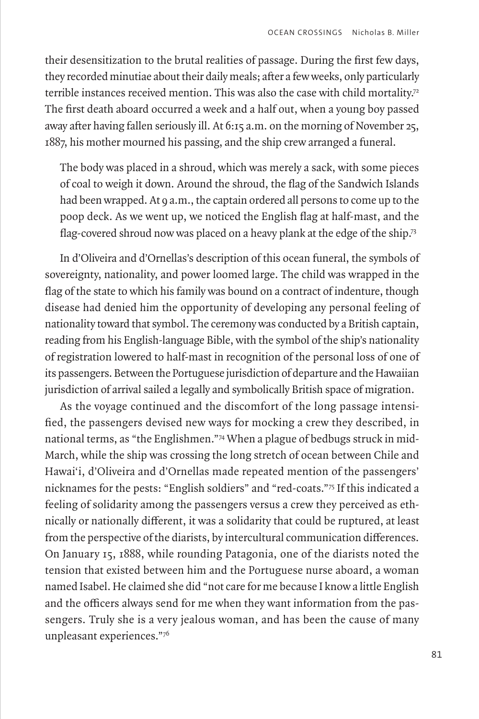their desensitization to the brutal realities of passage. During the first few days, they recorded minutiae about their daily meals; after a few weeks, only particularly terrible instances received mention. This was also the case with child mortality.<sup>72</sup> The first death aboard occurred a week and a half out, when a young boy passed away after having fallen seriously ill. At 6:15 a.m. on the morning of November 25, 1887, his mother mourned his passing, and the ship crew arranged a funeral.

The body was placed in a shroud, which was merely a sack, with some pieces of coal to weigh it down. Around the shroud, the flag of the Sandwich Islands had been wrapped. At 9 a.m., the captain ordered all persons to come up to the poop deck. As we went up, we noticed the English flag at half-mast, and the flag-covered shroud now was placed on a heavy plank at the edge of the ship.73

In d'Oliveira and d'Ornellas's description of this ocean funeral, the symbols of sovereignty, nationality, and power loomed large. The child was wrapped in the flag of the state to which his family was bound on a contract of indenture, though disease had denied him the opportunity of developing any personal feeling of nationality toward that symbol. The ceremony was conducted by a British captain, reading from his English-language Bible, with the symbol of the ship's nationality of registration lowered to half-mast in recognition of the personal loss of one of its passengers. Between the Portuguese jurisdiction of departure and the Hawaiian jurisdiction of arrival sailed a legally and symbolically British space of migration.

As the voyage continued and the discomfort of the long passage intensified, the passengers devised new ways for mocking a crew they described, in national terms, as "the Englishmen."74 When a plague of bedbugs struck in mid-March, while the ship was crossing the long stretch of ocean between Chile and Hawai'i, d'Oliveira and d'Ornellas made repeated mention of the passengers' nicknames for the pests: "English soldiers" and "red-coats."75 If this indicated a feeling of solidarity among the passengers versus a crew they perceived as ethnically or nationally different, it was a solidarity that could be ruptured, at least from the perspective of the diarists, by intercultural communication differences. On January 15, 1888, while rounding Patagonia, one of the diarists noted the tension that existed between him and the Portuguese nurse aboard, a woman named Isabel. He claimed she did "not care for me because I know a little English and the officers always send for me when they want information from the passengers. Truly she is a very jealous woman, and has been the cause of many unpleasant experiences."76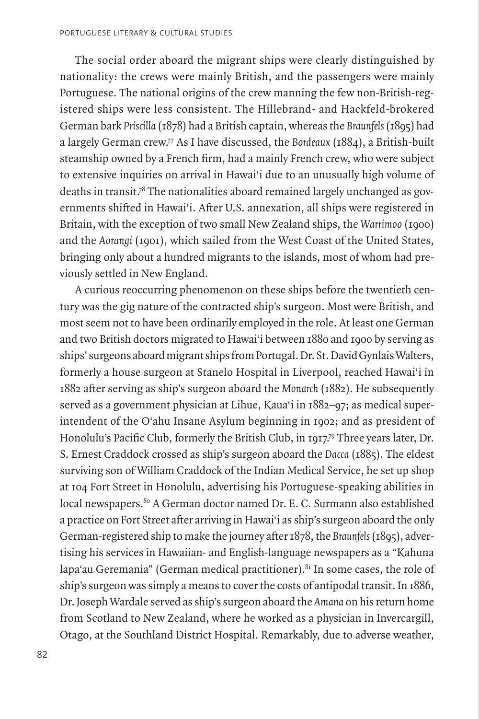The social order aboard the migrant ships were clearly distinguished by nationality: the crews were mainly British, and the passengers were mainly Portuguese. The national origins of the crew manning the few non-British-registered ships were less consistent. The Hillebrand- and Hackfeld-brokered German bark *Priscilla* (1878) had a British captain, whereas the *Braunfels* (1895) had a largely German crew.77 As I have discussed, the *Bordeaux* (1884), a British-built steamship owned by a French firm, had a mainly French crew, who were subject to extensive inquiries on arrival in Hawai'i due to an unusually high volume of deaths in transit.78 The nationalities aboard remained largely unchanged as governments shifted in Hawai'i. After U.S. annexation, all ships were registered in Britain, with the exception of two small New Zealand ships, the *Warrimoo* (1900) and the *Aorangi* (1901), which sailed from the West Coast of the United States, bringing only about a hundred migrants to the islands, most of whom had previously settled in New England.

A curious reoccurring phenomenon on these ships before the twentieth century was the gig nature of the contracted ship's surgeon. Most were British, and most seem not to have been ordinarily employed in the role. At least one German and two British doctors migrated to Hawai'i between 1880 and 1900 by serving as ships' surgeons aboard migrant ships from Portugal. Dr. St. David Gynlais Walters, formerly a house surgeon at Stanelo Hospital in Liverpool, reached Hawai'i in 1882 after serving as ship's surgeon aboard the *Monarch* (1882). He subsequently served as a government physician at Lihue, Kaua'i in 1882–97; as medical superintendent of the O'ahu Insane Asylum beginning in 1902; and as president of Honolulu's Pacific Club, formerly the British Club, in 1917.79 Three years later, Dr. S. Ernest Craddock crossed as ship's surgeon aboard the *Dacca* (1885). The eldest surviving son of William Craddock of the Indian Medical Service, he set up shop at 104 Fort Street in Honolulu, advertising his Portuguese-speaking abilities in local newspapers.<sup>80</sup> A German doctor named Dr. E. C. Surmann also established a practice on Fort Street after arriving in Hawai'i as ship's surgeon aboard the only German-registered ship to make the journey after 1878, the *Braunfels* (1895), advertising his services in Hawaiian- and English-language newspapers as a "Kahuna lapa'au Geremania" (German medical practitioner). $81$  In some cases, the role of ship's surgeon was simply a means to cover the costs of antipodal transit. In 1886, Dr. Joseph Wardale served as ship's surgeon aboard the *Amana* on his return home from Scotland to New Zealand, where he worked as a physician in Invercargill, Otago, at the Southland District Hospital. Remarkably, due to adverse weather,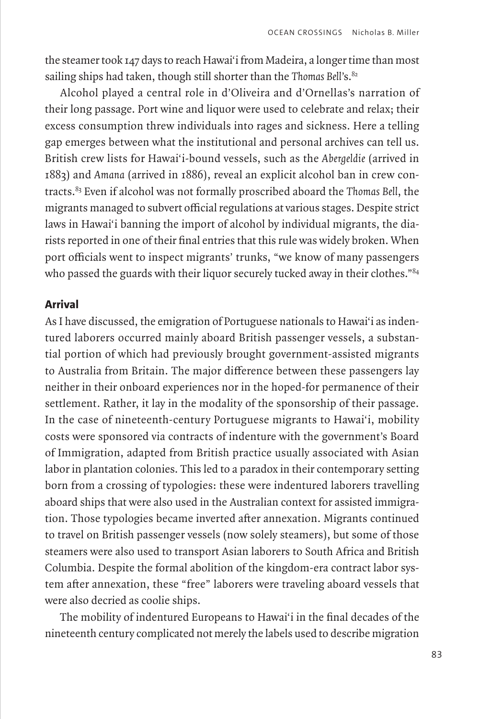the steamer took 147 days to reach Hawai'i from Madeira, a longer time than most sailing ships had taken, though still shorter than the *Thomas Bell's*.<sup>82</sup>

Alcohol played a central role in d'Oliveira and d'Ornellas's narration of their long passage. Port wine and liquor were used to celebrate and relax; their excess consumption threw individuals into rages and sickness. Here a telling gap emerges between what the institutional and personal archives can tell us. British crew lists for Hawai'i-bound vessels, such as the *Abergeldie* (arrived in 1883) and *Amana* (arrived in 1886), reveal an explicit alcohol ban in crew contracts.83 Even if alcohol was not formally proscribed aboard the *Thomas Bell*, the migrants managed to subvert official regulations at various stages. Despite strict laws in Hawai'i banning the import of alcohol by individual migrants, the diarists reported in one of their final entries that this rule was widely broken. When port officials went to inspect migrants' trunks, "we know of many passengers who passed the guards with their liquor securely tucked away in their clothes."<sup>84</sup>

## **Arrival**

As I have discussed, the emigration of Portuguese nationals to Hawai'i as indentured laborers occurred mainly aboard British passenger vessels, a substantial portion of which had previously brought government-assisted migrants to Australia from Britain. The major difference between these passengers lay neither in their onboard experiences nor in the hoped-for permanence of their settlement. Rather, it lay in the modality of the sponsorship of their passage. In the case of nineteenth-century Portuguese migrants to Hawai'i, mobility costs were sponsored via contracts of indenture with the government's Board of Immigration, adapted from British practice usually associated with Asian labor in plantation colonies. This led to a paradox in their contemporary setting born from a crossing of typologies: these were indentured laborers travelling aboard ships that were also used in the Australian context for assisted immigration. Those typologies became inverted after annexation. Migrants continued to travel on British passenger vessels (now solely steamers), but some of those steamers were also used to transport Asian laborers to South Africa and British Columbia. Despite the formal abolition of the kingdom-era contract labor system after annexation, these "free" laborers were traveling aboard vessels that were also decried as coolie ships.

The mobility of indentured Europeans to Hawai'i in the final decades of the nineteenth century complicated not merely the labels used to describe migration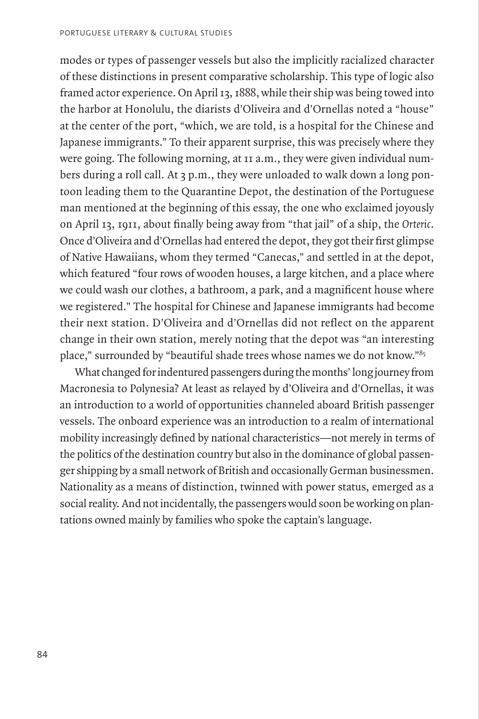modes or types of passenger vessels but also the implicitly racialized character of these distinctions in present comparative scholarship. This type of logic also framed actor experience. On April 13, 1888, while their ship was being towed into the harbor at Honolulu, the diarists d'Oliveira and d'Ornellas noted a "house" at the center of the port, "which, we are told, is a hospital for the Chinese and Japanese immigrants." To their apparent surprise, this was precisely where they were going. The following morning, at 11 a.m., they were given individual numbers during a roll call. At 3 p.m., they were unloaded to walk down a long pontoon leading them to the Quarantine Depot, the destination of the Portuguese man mentioned at the beginning of this essay, the one who exclaimed joyously on April 13, 1911, about finally being away from "that jail" of a ship, the *Orteric*. Once d'Oliveira and d'Ornellas had entered the depot, they got their first glimpse of Native Hawaiians, whom they termed "Canecas," and settled in at the depot, which featured "four rows of wooden houses, a large kitchen, and a place where we could wash our clothes, a bathroom, a park, and a magnificent house where we registered." The hospital for Chinese and Japanese immigrants had become their next station. D'Oliveira and d'Ornellas did not reflect on the apparent change in their own station, merely noting that the depot was "an interesting place," surrounded by "beautiful shade trees whose names we do not know."85

What changed for indentured passengers during the months' long journey from Macronesia to Polynesia? At least as relayed by d'Oliveira and d'Ornellas, it was an introduction to a world of opportunities channeled aboard British passenger vessels. The onboard experience was an introduction to a realm of international mobility increasingly defined by national characteristics—not merely in terms of the politics of the destination country but also in the dominance of global passenger shipping by a small network of British and occasionally German businessmen. Nationality as a means of distinction, twinned with power status, emerged as a social reality. And not incidentally, the passengers would soon be working on plantations owned mainly by families who spoke the captain's language.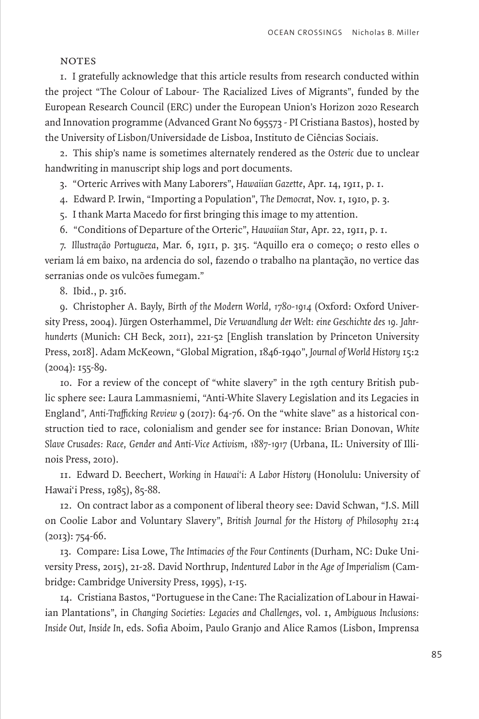#### **NOTES**

1. I gratefully acknowledge that this article results from research conducted within the project "The Colour of Labour- The Racialized Lives of Migrants", funded by the European Research Council (ERC) under the European Union's Horizon 2020 Research and Innovation programme (Advanced Grant No 695573 - PI Cristiana Bastos), hosted by the University of Lisbon/Universidade de Lisboa, Instituto de Ciências Sociais.

2. This ship's name is sometimes alternately rendered as the *Osteric* due to unclear handwriting in manuscript ship logs and port documents.

3. "Orteric Arrives with Many Laborers", *Hawaiian Gazette*, Apr. 14, 1911, p. 1.

4. Edward P. Irwin, "Importing a Population", *The Democrat*, Nov. 1, 1910, p. 3.

5. I thank Marta Macedo for first bringing this image to my attention.

6. "Conditions of Departure of the Orteric", *Hawaiian Star*, Apr. 22, 1911, p. 1.

7. *Illustração Portugueza*, Mar. 6, 1911, p. 315. "Aquillo era o começo; o resto elles o veriam lá em baixo, na ardencia do sol, fazendo o trabalho na plantação, no vertice das serranias onde os vulcões fumegam."

8. Ibid., p. 316.

9. Christopher A. Bayly, *Birth of the Modern World, 1780-1914* (Oxford: Oxford University Press, 2004). Jürgen Osterhammel, *Die Verwandlung der Welt: eine Geschichte des 19. Jahrhunderts* (Munich: CH Beck, 2011), 221-52 [English translation by Princeton University Press, 2018]. Adam McKeown, "Global Migration, 1846-1940", *Journal of World History* 15:2  $(2004): 155-89.$ 

10. For a review of the concept of "white slavery" in the 19th century British public sphere see: Laura Lammasniemi, "Anti-White Slavery Legislation and its Legacies in England*", Anti-Trafficking Review* 9 (2017): 64-76. On the "white slave" as a historical construction tied to race, colonialism and gender see for instance: Brian Donovan, *White Slave Crusades: Race, Gender and Anti-Vice Activism, 1887-1917* (Urbana, IL: University of Illinois Press, 2010).

11. Edward D. Beechert, *Working in Hawai'i: A Labor History* (Honolulu: University of Hawai'i Press, 1985), 85-88.

12. On contract labor as a component of liberal theory see: David Schwan, "J.S. Mill on Coolie Labor and Voluntary Slavery", *British Journal for the History of Philosophy* 21:4  $(2013): 754-66.$ 

13. Compare: Lisa Lowe, *The Intimacies of the Four Continents* (Durham, NC: Duke University Press, 2015), 21-28. David Northrup, *Indentured Labor in the Age of Imperialism* (Cambridge: Cambridge University Press, 1995), 1-15.

14. Cristiana Bastos, "Portuguese in the Cane: The Racialization of Labour in Hawaiian Plantations", in *Changing Societies: Legacies and Challenges*, vol. 1, *Ambiguous Inclusions: Inside Out, Inside In*, eds. Sofia Aboim, Paulo Granjo and Alice Ramos (Lisbon, Imprensa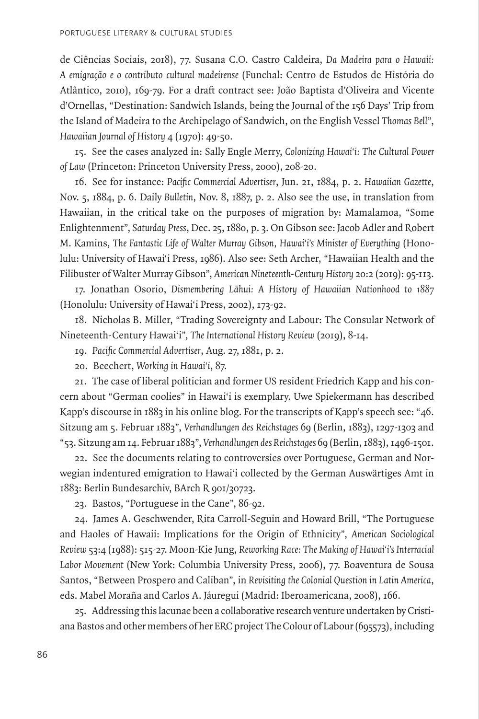de Ciências Sociais, 2018), 77. Susana C.O. Castro Caldeira, *Da Madeira para o Hawaii: A emigração e o contributo cultural madeirense* (Funchal: Centro de Estudos de História do Atlântico, 2010), 169-79. For a draft contract see: João Baptista d'Oliveira and Vicente d'Ornellas, "Destination: Sandwich Islands, being the Journal of the 156 Days' Trip from the Island of Madeira to the Archipelago of Sandwich, on the English Vessel *Thomas Bell*", *Hawaiian Journal of History* 4 (1970): 49-50.

15. See the cases analyzed in: Sally Engle Merry, *Colonizing Hawai'i: The Cultural Power of Law* (Princeton: Princeton University Press, 2000), 208-20.

16. See for instance: *Pacific Commercial Advertiser*, Jun. 21, 1884, p. 2. *Hawaiian Gazette*, Nov. 5, 1884, p. 6. Daily *Bulletin*, Nov. 8, 1887, p. 2. Also see the use, in translation from Hawaiian, in the critical take on the purposes of migration by: Mamalamoa, "Some Enlightenment", *Saturday Press*, Dec. 25, 1880, p. 3. On Gibson see: Jacob Adler and Robert M. Kamins, *The Fantastic Life of Walter Murray Gibson, Hawai'i's Minister of Everything* (Honolulu: University of Hawai'i Press, 1986). Also see: Seth Archer, "Hawaiian Health and the Filibuster of Walter Murray Gibson", *American Nineteenth-Century History* 20:2 (2019): 95-113.

17. Jonathan Osorio, Dismembering Lāhui: A History of Hawaiian Nationhood to 1887 (Honolulu: University of Hawai'i Press, 2002), 173-92.

18. Nicholas B. Miller, "Trading Sovereignty and Labour: The Consular Network of Nineteenth-Century Hawai'i", *The International History Review* (2019), 8-14.

19. *Pacific Commercial Advertiser*, Aug. 27, 1881, p. 2.

20. Beechert, *Working in Hawai'i*, 87.

21. The case of liberal politician and former US resident Friedrich Kapp and his concern about "German coolies" in Hawai'i is exemplary. Uwe Spiekermann has described Kapp's discourse in 1883 in his online blog. For the transcripts of Kapp's speech see: "46. Sitzung am 5. Februar 1883", *Verhandlungen des Reichstages* 69 (Berlin, 1883), 1297-1303 and "53. Sitzung am 14. Februar 1883", *Verhandlungen des Reichstages* 69 (Berlin, 1883), 1496-1501.

22. See the documents relating to controversies over Portuguese, German and Norwegian indentured emigration to Hawai'i collected by the German Auswärtiges Amt in 1883: Berlin Bundesarchiv, BArch R 901/30723.

23. Bastos, "Portuguese in the Cane", 86-92.

24. James A. Geschwender, Rita Carroll-Seguin and Howard Brill, "The Portuguese and Haoles of Hawaii: Implications for the Origin of Ethnicity", *American Sociological Review* 53:4 (1988): 515-27. Moon-Kie Jung, *Reworking Race: The Making of Hawai'i's Interracial Labor Movement* (New York: Columbia University Press, 2006), 77. Boaventura de Sousa Santos, "Between Prospero and Caliban", in *Revisiting the Colonial Question in Latin America*, eds. Mabel Moraña and Carlos A. Jáuregui (Madrid: Iberoamericana, 2008), 166.

25. Addressing this lacunae been a collaborative research venture undertaken by Cristiana Bastos and other members of her ERC project The Colour of Labour (695573), including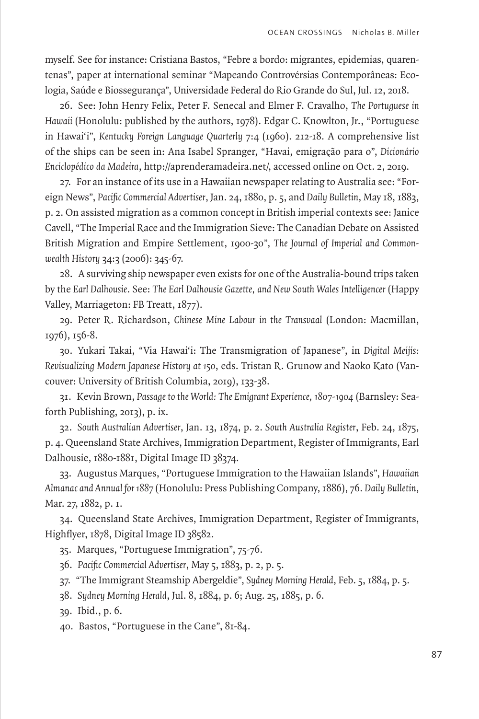myself. See for instance: Cristiana Bastos, "Febre a bordo: migrantes, epidemias, quarentenas", paper at international seminar "Mapeando Controvérsias Contemporâneas: Ecologia, Saúde e Biossegurança", Universidade Federal do Rio Grande do Sul, Jul. 12, 2018.

26. See: John Henry Felix, Peter F. Senecal and Elmer F. Cravalho, *The Portuguese in Hawaii* (Honolulu: published by the authors, 1978). Edgar C. Knowlton, Jr., "Portuguese in Hawai'i", *Kentucky Foreign Language Quarterly* 7:4 (1960). 212-18. A comprehensive list of the ships can be seen in: Ana Isabel Spranger, "Havai, emigração para o", *Dicionário Enciclopédico da Madeira*, http://aprenderamadeira.net/, accessed online on Oct. 2, 2019.

27. For an instance of its use in a Hawaiian newspaper relating to Australia see: "Foreign News", *Pacific Commercial Advertiser*, Jan. 24, 1880, p. 5, and *Daily Bulletin*, May 18, 1883, p. 2. On assisted migration as a common concept in British imperial contexts see: Janice Cavell, "The Imperial Race and the Immigration Sieve: The Canadian Debate on Assisted British Migration and Empire Settlement, 1900-30", *The Journal of Imperial and Commonwealth History* 34:3 (2006): 345-67.

28. A surviving ship newspaper even exists for one of the Australia-bound trips taken by the *Earl Dalhousie*. See: *The Earl Dalhousie Gazette, and New South Wales Intelligencer* (Happy Valley, Marriageton: FB Treatt, 1877).

29. Peter R. Richardson, *Chinese Mine Labour in the Transvaal* (London: Macmillan, 1976), 156-8.

30. Yukari Takai, "Via Hawai'i: The Transmigration of Japanese", in *Digital Meijis: Revisualizing Modern Japanese History at 150*, eds. Tristan R. Grunow and Naoko Kato (Vancouver: University of British Columbia, 2019), 133-38.

31. Kevin Brown, *Passage to the World: The Emigrant Experience, 1807-1904* (Barnsley: Seaforth Publishing, 2013), p. ix.

32. *South Australian Advertiser*, Jan. 13, 1874, p. 2. *South Australia Register*, Feb. 24, 1875, p. 4. Queensland State Archives, Immigration Department, Register of Immigrants, Earl Dalhousie, 1880-1881, Digital Image ID 38374.

33. Augustus Marques, "Portuguese Immigration to the Hawaiian Islands", *Hawaiian Almanac and Annual for 1887* (Honolulu: Press Publishing Company, 1886), 76. *Daily Bulletin*, Mar. 27, 1882, p. 1.

34. Queensland State Archives, Immigration Department, Register of Immigrants, Highflyer, 1878, Digital Image ID 38582.

35. Marques, "Portuguese Immigration", 75-76.

36. *Pacific Commercial Advertiser*, May 5, 1883, p. 2, p. 5.

37. "The Immigrant Steamship Abergeldie", *Sydney Morning Herald*, Feb. 5, 1884, p. 5.

38. *Sydney Morning Herald*, Jul. 8, 1884, p. 6; Aug. 25, 1885, p. 6.

39. Ibid., p. 6.

40. Bastos, "Portuguese in the Cane", 81-84.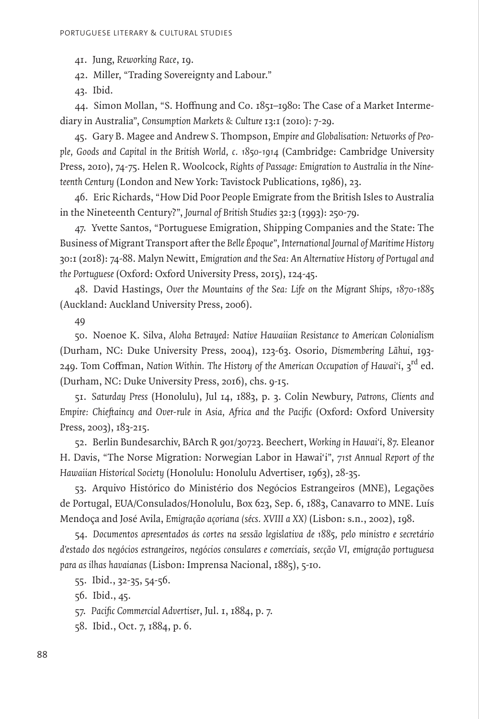41. Jung, *Reworking Race*, 19.

42. Miller, "Trading Sovereignty and Labour."

43. Ibid.

44. Simon Mollan, "S. Hoffnung and Co. 1851–1980: The Case of a Market Intermediary in Australia", *Consumption Markets & Culture* 13:1 (2010): 7-29.

45. Gary B. Magee and Andrew S. Thompson, *Empire and Globalisation: Networks of People, Goods and Capital in the British World, c. 1850-1914* (Cambridge: Cambridge University Press, 2010), 74-75. Helen R. Woolcock, *Rights of Passage: Emigration to Australia in the Nineteenth Century* (London and New York: Tavistock Publications, 1986), 23.

46. Eric Richards, "How Did Poor People Emigrate from the British Isles to Australia in the Nineteenth Century?", *Journal of British Studies* 32:3 (1993): 250-79.

47. Yvette Santos, "Portuguese Emigration, Shipping Companies and the State: The Business of Migrant Transport after the *Belle Époque*", *International Journal of Maritime History*  30:1 (2018): 74-88. Malyn Newitt, *Emigration and the Sea: An Alternative History of Portugal and the Portuguese* (Oxford: Oxford University Press, 2015), 124-45.

48. David Hastings, *Over the Mountains of the Sea: Life on the Migrant Ships, 1870-1885*  (Auckland: Auckland University Press, 2006).

49

50. Noenoe K. Silva, *Aloha Betrayed: Native Hawaiian Resistance to American Colonialism*  (Durham, NC: Duke University Press, 2004), 123-63. Osorio, Dismembering Lāhui, 193-249. Tom Coffman, *Nation Within. The History of the American Occupation of Hawai'i*, 3rd ed. (Durham, NC: Duke University Press, 2016), chs. 9-15.

51. *Saturday Press* (Honolulu), Jul 14, 1883, p. 3. Colin Newbury, *Patrons, Clients and Empire: Chieftaincy and Over-rule in Asia, Africa and the Pacific* (Oxford: Oxford University Press, 2003), 183-215.

52. Berlin Bundesarchiv, BArch R 901/30723. Beechert, *Working in Hawai'i*, 87. Eleanor H. Davis, "The Norse Migration: Norwegian Labor in Hawai'i", *71st Annual Report of the Hawaiian Historical Society* (Honolulu: Honolulu Advertiser, 1963), 28-35.

53. Arquivo Histórico do Ministério dos Negócios Estrangeiros (MNE), Legações de Portugal, EUA/Consulados/Honolulu, Box 623, Sep. 6, 1883, Canavarro to MNE. Luís Mendoça and José Avila, *Emigração açoriana (sécs. XVIII a XX)* (Lisbon: s.n., 2002), 198.

54. *Documentos apresentados ás cortes na sessão legislativa de 1885, pelo ministro e secretário d'estado dos negócios estrangeiros, negócios consulares e comerciais, secção VI, emigração portuguesa para as ilhas havaianas* (Lisbon: Imprensa Nacional, 1885), 5-10.

55. Ibid., 32-35, 54-56.

56. Ibid., 45.

57. *Pacific Commercial Advertiser*, Jul. 1, 1884, p. 7.

58. Ibid., Oct. 7, 1884, p. 6.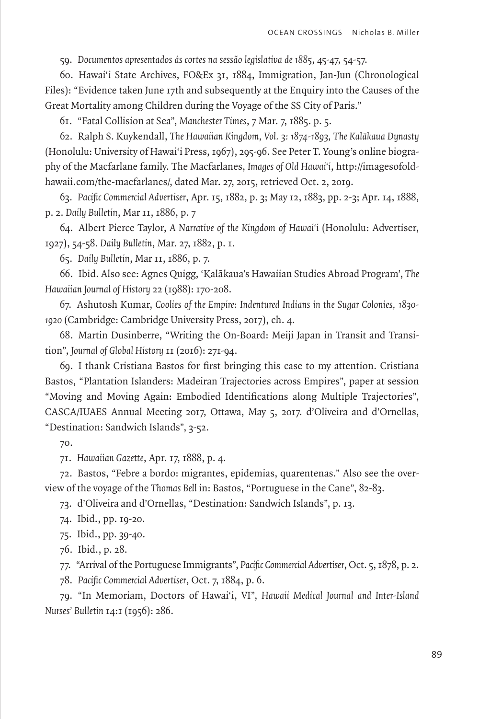59. *Documentos apresentados ás cortes na sessão legislativa de 1885*, 45-47, 54-57.

60. Hawai'i State Archives, FO&Ex 31, 1884, Immigration, Jan-Jun (Chronological Files): "Evidence taken June 17th and subsequently at the Enquiry into the Causes of the Great Mortality among Children during the Voyage of the SS City of Paris."

61. "Fatal Collision at Sea", *Manchester Times*, 7 Mar. 7, 1885. p. 5.

62. Ralph S. Kuykendall, The Hawaiian Kingdom, Vol. 3: 1874-1893, The Kalākaua Dynasty (Honolulu: University of Hawai'i Press, 1967), 295-96. See Peter T. Young's online biography of the Macfarlane family. The Macfarlanes, *Images of Old Hawai'i*, http://imagesofoldhawaii.com/the-macfarlanes/, dated Mar. 27, 2015, retrieved Oct. 2, 2019.

63. *Pacific Commercial Advertiser*, Apr. 15, 1882, p. 3; May 12, 1883, pp. 2-3; Apr. 14, 1888, p. 2. *Daily Bulletin*, Mar 11, 1886, p. 7

64. Albert Pierce Taylor, *A Narrative of the Kingdom of Hawai'i* (Honolulu: Advertiser, 1927), 54-58. *Daily Bulletin*, Mar. 27, 1882, p. 1.

65. *Daily Bulletin*, Mar 11, 1886, p. 7.

66. Ibid. Also see: Agnes Quigg, 'Kalaˉkaua's Hawaiian Studies Abroad Program', *The Hawaiian Journal of History* 22 (1988): 170-208.

67. Ashutosh Kumar, *Coolies of the Empire: Indentured Indians in the Sugar Colonies, 1830- 1920* (Cambridge: Cambridge University Press, 2017), ch. 4.

68. Martin Dusinberre, "Writing the On-Board: Meiji Japan in Transit and Transition", *Journal of Global History* 11 (2016): 271-94.

69. I thank Cristiana Bastos for first bringing this case to my attention. Cristiana Bastos, "Plantation Islanders: Madeiran Trajectories across Empires", paper at session "Moving and Moving Again: Embodied Identifications along Multiple Trajectories", CASCA/IUAES Annual Meeting 2017, Ottawa, May 5, 2017. d'Oliveira and d'Ornellas, "Destination: Sandwich Islands", 3-52.

70.

71. *Hawaiian Gazette*, Apr. 17, 1888, p. 4.

72. Bastos, "Febre a bordo: migrantes, epidemias, quarentenas." Also see the overview of the voyage of the *Thomas Bell* in: Bastos, "Portuguese in the Cane", 82-83.

73. d'Oliveira and d'Ornellas, "Destination: Sandwich Islands", p. 13.

74. Ibid., pp. 19-20.

75. Ibid., pp. 39-40.

76. Ibid., p. 28.

77. "Arrival of the Portuguese Immigrants", *Pacific Commercial Advertiser*, Oct. 5, 1878, p. 2.

78. *Pacific Commercial Advertiser*, Oct. 7, 1884, p. 6.

79. "In Memoriam, Doctors of Hawai'i, VI", *Hawaii Medical Journal and Inter-Island Nurses' Bulletin* 14:1 (1956): 286.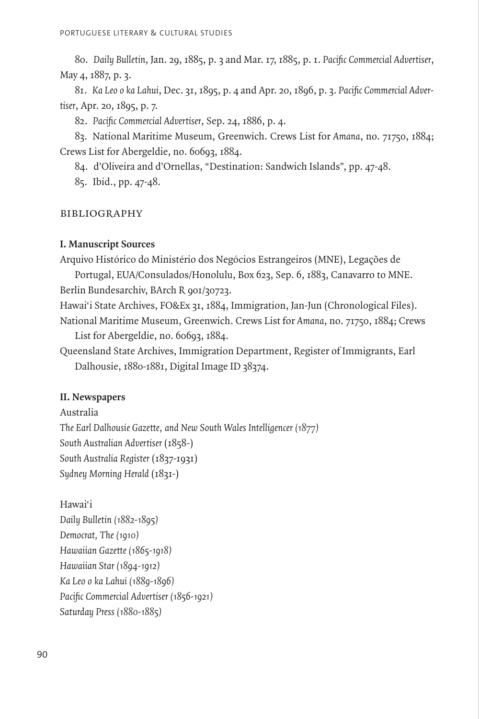80. *Daily Bulletin*, Jan. 29, 1885, p. 3 and Mar. 17, 1885, p. 1. *Pacific Commercial Advertiser*, May 4, 1887, p. 3.

81. *Ka Leo o ka Lahui*, Dec. 31, 1895, p. 4 and Apr. 20, 1896, p. 3. *Pacific Commercial Advertiser*, Apr. 20, 1895, p. 7.

82. *Pacific Commercial Advertiser*, Sep. 24, 1886, p. 4.

83. National Maritime Museum, Greenwich. Crews List for *Amana*, no. 71750, 1884; Crews List for Abergeldie, no. 60693, 1884.

84. d'Oliveira and d'Ornellas, "Destination: Sandwich Islands", pp. 47-48.

85. Ibid., pp. 47-48.

#### bibliography

### **I. Manuscript Sources**

Arquivo Histórico do Ministério dos Negócios Estrangeiros (MNE), Legações de

Portugal, EUA/Consulados/Honolulu, Box 623, Sep. 6, 1883, Canavarro to MNE. Berlin Bundesarchiv, BArch R 901/30723.

Hawai'i State Archives, FO&Ex 31, 1884, Immigration, Jan-Jun (Chronological Files). National Maritime Museum, Greenwich. Crews List for *Amana*, no. 71750, 1884; Crews

List for Abergeldie, no. 60693, 1884.

Queensland State Archives, Immigration Department, Register of Immigrants, Earl Dalhousie, 1880-1881, Digital Image ID 38374.

## **II. Newspapers**

Australia *The Earl Dalhousie Gazette, and New South Wales Intelligencer (1877) South Australian Advertiser* (1858-) *South Australia Register* (1837-1931) *Sydney Morning Herald* (1831-)

Hawai'i *Daily Bulletin (1882-1895) Democrat, The (1910) Hawaiian Gazette (1865-1918) Hawaiian Star (1894-1912) Ka Leo o ka Lahui (1889-1896) Pacific Commercial Advertiser (1856-1921) Saturday Press (1880-1885)*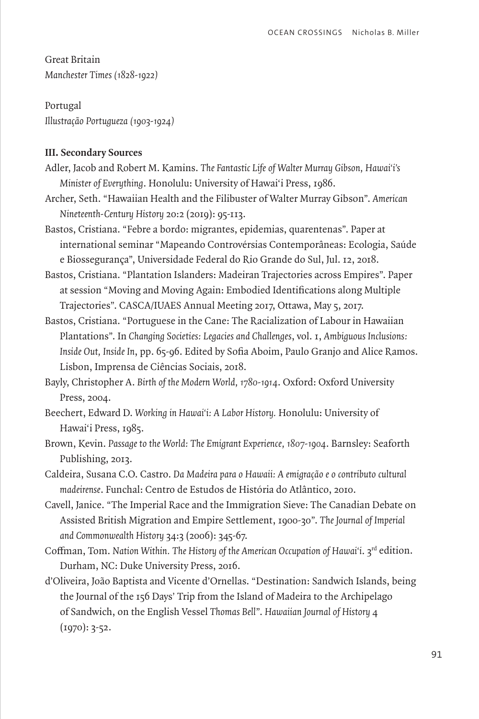Great Britain *Manchester Times (1828-1922)*

Portugal *Illustração Portugueza (1903-1924)*

## **III. Secondary Sources**

- Adler, Jacob and Robert M. Kamins. *The Fantastic Life of Walter Murray Gibson, Hawai'i's Minister of Everything*. Honolulu: University of Hawai'i Press, 1986.
- Archer, Seth. "Hawaiian Health and the Filibuster of Walter Murray Gibson". *American Nineteenth-Century History* 20:2 (2019): 95-113.
- Bastos, Cristiana. "Febre a bordo: migrantes, epidemias, quarentenas". Paper at international seminar "Mapeando Controvérsias Contemporâneas: Ecologia, Saúde e Biossegurança", Universidade Federal do Rio Grande do Sul, Jul. 12, 2018.
- Bastos, Cristiana. "Plantation Islanders: Madeiran Trajectories across Empires". Paper at session "Moving and Moving Again: Embodied Identifications along Multiple Trajectories". CASCA/IUAES Annual Meeting 2017, Ottawa, May 5, 2017.
- Bastos, Cristiana. "Portuguese in the Cane: The Racialization of Labour in Hawaiian Plantations". In *Changing Societies: Legacies and Challenges*, vol. 1, *Ambiguous Inclusions: Inside Out, Inside In*, pp. 65-96. Edited by Sofia Aboim, Paulo Granjo and Alice Ramos. Lisbon, Imprensa de Ciências Sociais, 2018.

Bayly, Christopher A. *Birth of the Modern World, 1780-1914*. Oxford: Oxford University Press, 2004.

- Beechert, Edward D. *Working in Hawai'i: A Labor History.* Honolulu: University of Hawai'i Press, 1985.
- Brown, Kevin. *Passage to the World: The Emigrant Experience, 1807-1904*. Barnsley: Seaforth Publishing, 2013.
- Caldeira, Susana C.O. Castro. *Da Madeira para o Hawaii: A emigração e o contributo cultural madeirense*. Funchal: Centro de Estudos de História do Atlântico, 2010.
- Cavell, Janice. "The Imperial Race and the Immigration Sieve: The Canadian Debate on Assisted British Migration and Empire Settlement, 1900-30". *The Journal of Imperial and Commonwealth History* 34:3 (2006): 345-67.
- Coffman, Tom. Nation Within. The History of the American Occupation of Hawai'i. 3<sup>rd</sup> edition. Durham, NC: Duke University Press, 2016.
- d'Oliveira, João Baptista and Vicente d'Ornellas. "Destination: Sandwich Islands, being the Journal of the 156 Days' Trip from the Island of Madeira to the Archipelago of Sandwich, on the English Vessel *Thomas Bell*". *Hawaiian Journal of History* 4 (1970): 3-52.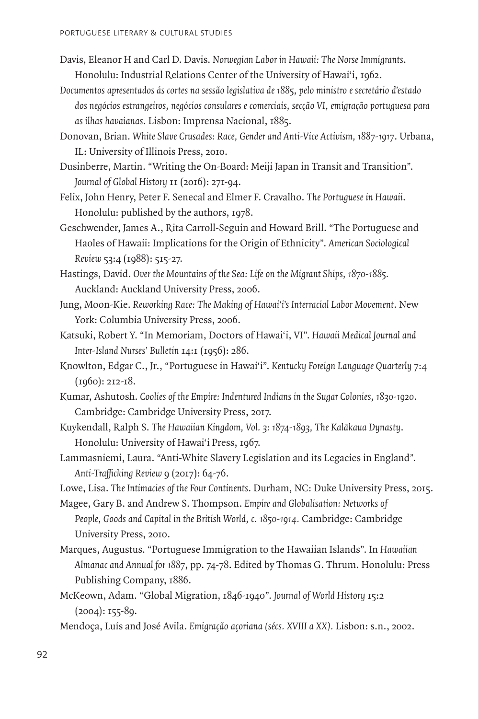- Davis, Eleanor H and Carl D. Davis. *Norwegian Labor in Hawaii: The Norse Immigrants*. Honolulu: Industrial Relations Center of the University of Hawai'i, 1962.
- *Documentos apresentados ás cortes na sessão legislativa de 1885, pelo ministro e secretário d'estado dos negócios estrangeiros, negócios consulares e comerciais, secção VI, emigração portuguesa para as ilhas havaianas*. Lisbon: Imprensa Nacional, 1885.
- Donovan, Brian. *White Slave Crusades: Race, Gender and Anti-Vice Activism, 1887-1917*. Urbana, IL: University of Illinois Press, 2010.
- Dusinberre, Martin. "Writing the On-Board: Meiji Japan in Transit and Transition". *Journal of Global History* 11 (2016): 271-94.
- Felix, John Henry, Peter F. Senecal and Elmer F. Cravalho. *The Portuguese in Hawaii*. Honolulu: published by the authors, 1978.
- Geschwender, James A., Rita Carroll-Seguin and Howard Brill. "The Portuguese and Haoles of Hawaii: Implications for the Origin of Ethnicity". *American Sociological Review* 53:4 (1988): 515-27.
- Hastings, David. *Over the Mountains of the Sea: Life on the Migrant Ships, 1870-1885.* Auckland: Auckland University Press, 2006.
- Jung, Moon-Kie. *Reworking Race: The Making of Hawai'i's Interracial Labor Movement*. New York: Columbia University Press, 2006.
- Katsuki, Robert Y. "In Memoriam, Doctors of Hawai'i, VI". *Hawaii Medical Journal and Inter-Island Nurses' Bulletin* 14:1 (1956): 286.
- Knowlton, Edgar C., Jr., "Portuguese in Hawai'i". *Kentucky Foreign Language Quarterly* 7:4 (1960): 212-18.
- Kumar, Ashutosh. *Coolies of the Empire: Indentured Indians in the Sugar Colonies, 1830-1920*. Cambridge: Cambridge University Press, 2017.
- Kuykendall, Ralph S. The Hawaiian Kingdom, Vol. 3: 1874-1893, The Kalākaua Dynasty. Honolulu: University of Hawai'i Press, 1967.
- Lammasniemi, Laura. "Anti-White Slavery Legislation and its Legacies in England*". Anti-Trafficking Review* 9 (2017): 64-76.
- Lowe, Lisa. *The Intimacies of the Four Continents*. Durham, NC: Duke University Press, 2015.
- Magee, Gary B. and Andrew S. Thompson. *Empire and Globalisation: Networks of People, Goods and Capital in the British World, c. 1850-1914.* Cambridge: Cambridge University Press, 2010.
- Marques, Augustus. "Portuguese Immigration to the Hawaiian Islands". In *Hawaiian Almanac and Annual for 1887*, pp. 74-78. Edited by Thomas G. Thrum. Honolulu: Press Publishing Company, 1886.
- McKeown, Adam. "Global Migration, 1846-1940". *Journal of World History* 15:2  $(2004): 155-89.$

Mendoça, Luís and José Avila. *Emigração açoriana (sécs. XVIII a XX).* Lisbon: s.n., 2002.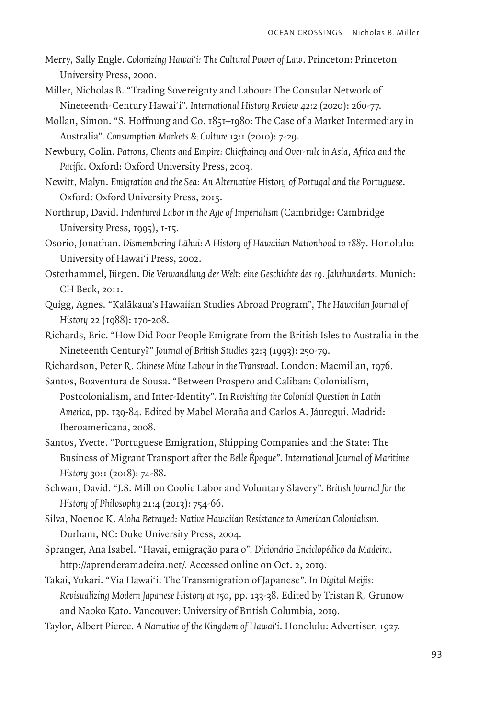- Merry, Sally Engle. *Colonizing Hawai'i: The Cultural Power of Law*. Princeton: Princeton University Press, 2000.
- Miller, Nicholas B. "Trading Sovereignty and Labour: The Consular Network of Nineteenth-Century Hawai'i". *International History Review 42:2* (2020): 260-77.
- Mollan, Simon. "S. Hoffnung and Co. 1851–1980: The Case of a Market Intermediary in Australia". *Consumption Markets & Culture* 13:1 (2010): 7-29.
- Newbury, Colin. *Patrons, Clients and Empire: Chieftaincy and Over-rule in Asia, Africa and the Pacific*. Oxford: Oxford University Press, 2003.
- Newitt, Malyn. *Emigration and the Sea: An Alternative History of Portugal and the Portuguese*. Oxford: Oxford University Press, 2015.
- Northrup, David. *Indentured Labor in the Age of Imperialism* (Cambridge: Cambridge University Press, 1995), 1-15.
- Osorio, Jonathan. Dismembering Lāhui: A History of Hawaiian Nationhood to 1887. Honolulu: University of Hawai'i Press, 2002.
- Osterhammel, Jürgen. *Die Verwandlung der Welt: eine Geschichte des 19. Jahrhunderts*. Munich: CH Beck, 2011.
- Quigg, Agnes. "Kalaˉkaua's Hawaiian Studies Abroad Program", *The Hawaiian Journal of History* 22 (1988): 170-208.
- Richards, Eric. "How Did Poor People Emigrate from the British Isles to Australia in the Nineteenth Century?" *Journal of British Studies* 32:3 (1993): 250-79.
- Richardson, Peter R. *Chinese Mine Labour in the Transvaal*. London: Macmillan, 1976.
- Santos, Boaventura de Sousa. "Between Prospero and Caliban: Colonialism, Postcolonialism, and Inter-Identity". In *Revisiting the Colonial Question in Latin America*, pp. 139-84. Edited by Mabel Moraña and Carlos A. Jáuregui. Madrid: Iberoamericana, 2008.
- Santos, Yvette. "Portuguese Emigration, Shipping Companies and the State: The Business of Migrant Transport after the *Belle Époque*". *International Journal of Maritime History* 30:1 (2018): 74-88.
- Schwan, David. "J.S. Mill on Coolie Labor and Voluntary Slavery". *British Journal for the History of Philosophy* 21:4 (2013): 754-66.
- Silva, Noenoe K. *Aloha Betrayed: Native Hawaiian Resistance to American Colonialism*. Durham, NC: Duke University Press, 2004.
- Spranger, Ana Isabel. "Havai, emigração para o". *Dicionário Enciclopédico da Madeira*. http://aprenderamadeira.net/. Accessed online on Oct. 2, 2019.
- Takai, Yukari. "Via Hawai'i: The Transmigration of Japanese". In *Digital Meijis: Revisualizing Modern Japanese History at 150*, pp. 133-38. Edited by Tristan R. Grunow and Naoko Kato. Vancouver: University of British Columbia, 2019.
- Taylor, Albert Pierce. *A Narrative of the Kingdom of Hawai'i*. Honolulu: Advertiser, 1927.